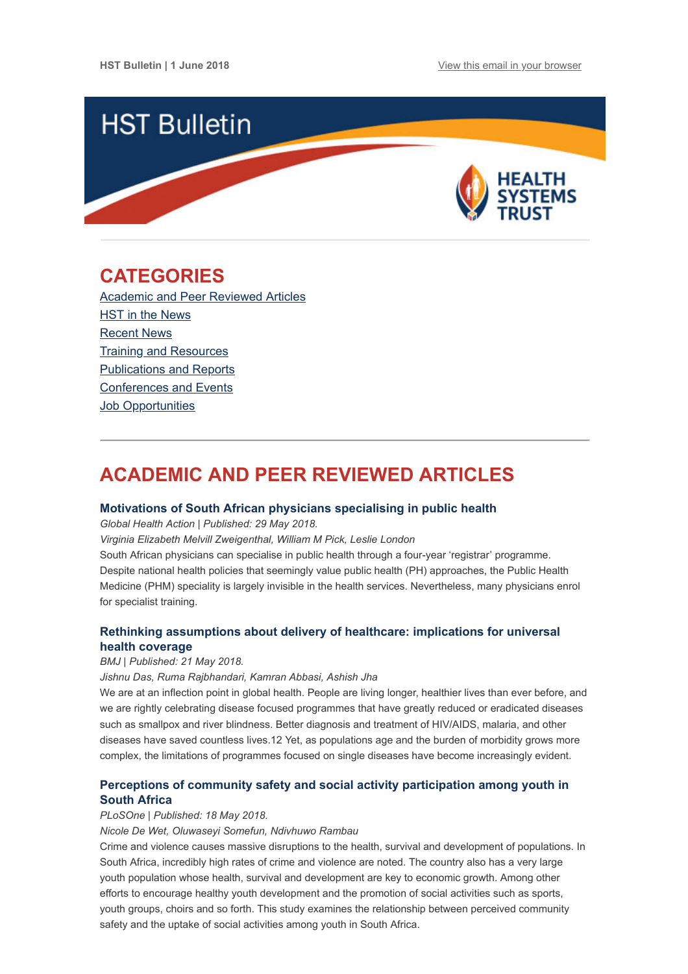

## <span id="page-0-1"></span>**CATEGORIES**

[Academic and Peer Reviewed Articles](#page-0-0) HST in the News [Recent News](#page-2-0) [Training and Resources](#page-2-1) [Publications and Reports](#page-3-0) [Conferences and Events](#page-3-1) **Job Opportunities** 

# <span id="page-0-0"></span>**ACADEMIC AND PEER REVIEWED ARTICLES**

#### **[Motivations of South African physicians specialising in public health](https://www.tandfonline.com/doi/full/10.1080/16549716.2018.1475039?utm_source=Global+Health+NOW+Main+List&utm_campaign=556a086786-EMAIL_CAMPAIGN_2018_05_30_02_10&utm_medium=email&utm_term=0_8d0d062dbd-556a086786-2811001)**

*Global Health Action | Published: 29 May 2018.*

*Virginia Elizabeth Melvill Zweigenthal, William M Pick, Leslie London*

South African physicians can specialise in public health through a four-year 'registrar' programme. Despite national health policies that seemingly value public health (PH) approaches, the Public Health Medicine (PHM) speciality is largely invisible in the health services. Nevertheless, many physicians enrol for specialist training.

### **[Rethinking assumptions about delivery of healthcare: implications for universal](https://www.bmj.com/content/361/bmj.k1716) health coverage**

#### *BMJ | Published: 21 May 2018.*

*Jishnu Das, Ruma Rajbhandari, Kamran Abbasi, Ashish Jha*

We are at an inflection point in global health. People are living longer, healthier lives than ever before, and we are rightly celebrating disease focused programmes that have greatly reduced or eradicated diseases such as smallpox and river blindness. Better diagnosis and treatment of HIV/AIDS, malaria, and other diseases have saved countless lives.12 Yet, as populations age and the burden of morbidity grows more complex, the limitations of programmes focused on single diseases have become increasingly evident.

## **[Perceptions of community safety and social activity participation among youth in](http://journals.plos.org/plosone/article?id=10.1371/journal.pone.0197549) South Africa**

#### *PLoSOne | Published: 18 May 2018.*

*Nicole De Wet, Oluwaseyi Somefun, Ndivhuwo Rambau*

Crime and violence causes massive disruptions to the health, survival and development of populations. In South Africa, incredibly high rates of crime and violence are noted. The country also has a very large youth population whose health, survival and development are key to economic growth. Among other efforts to encourage healthy youth development and the promotion of social activities such as sports, youth groups, choirs and so forth. This study examines the relationship between perceived community safety and the uptake of social activities among youth in South Africa.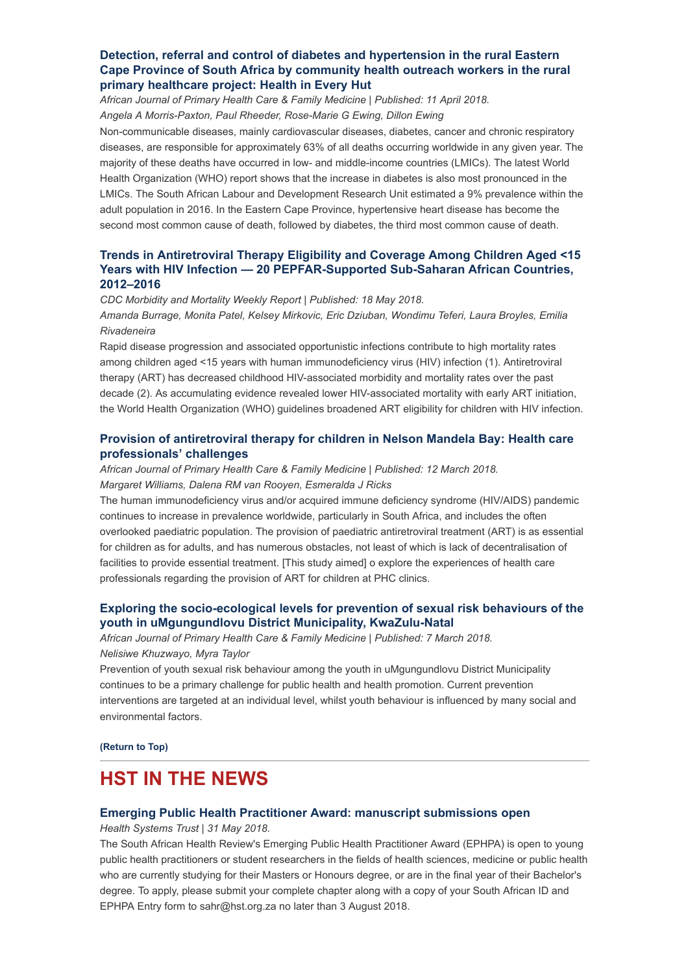### **Detection, referral and control of diabetes and hypertension in the rural Eastern [Cape Province of South Africa by community health outreach workers in the rural](https://www.ncbi.nlm.nih.gov/pmc/articles/PMC5913786/) primary healthcare project: Health in Every Hut**

*African Journal of Primary Health Care & Family Medicine | Published: 11 April 2018. Angela A Morris-Paxton, Paul Rheeder, Rose-Marie G Ewing, Dillon Ewing*

Non-communicable diseases, mainly cardiovascular diseases, diabetes, cancer and chronic respiratory diseases, are responsible for approximately 63% of all deaths occurring worldwide in any given year. The majority of these deaths have occurred in low- and middle-income countries (LMICs). The latest World Health Organization (WHO) report shows that the increase in diabetes is also most pronounced in the LMICs. The South African Labour and Development Research Unit estimated a 9% prevalence within the adult population in 2016. In the Eastern Cape Province, hypertensive heart disease has become the second most common cause of death, followed by diabetes, the third most common cause of death.

### **[Trends in Antiretroviral Therapy Eligibility and Coverage Among Children Aged <15](https://www.cdc.gov/mmwr/volumes/67/wr/mm6719a4.htm?s_cid=mm6719a4_w) Years with HIV Infection — 20 PEPFAR-Supported Sub-Saharan African Countries, 2012–2016**

*CDC Morbidity and Mortality Weekly Report | Published: 18 May 2018. Amanda Burrage, Monita Patel, Kelsey Mirkovic, Eric Dziuban, Wondimu Teferi, Laura Broyles, Emilia Rivadeneira*

Rapid disease progression and associated opportunistic infections contribute to high mortality rates among children aged <15 years with human immunodeficiency virus (HIV) infection (1). Antiretroviral therapy (ART) has decreased childhood HIV-associated morbidity and mortality rates over the past decade (2). As accumulating evidence revealed lower HIV-associated mortality with early ART initiation, the World Health Organization (WHO) guidelines broadened ART eligibility for children with HIV infection.

### **[Provision of antiretroviral therapy for children in Nelson Mandela Bay: Health care](https://www.ncbi.nlm.nih.gov/pmc/articles/PMC5913768/) professionals' challenges**

*African Journal of Primary Health Care & Family Medicine | Published: 12 March 2018. Margaret Williams, Dalena RM van Rooyen, Esmeralda J Ricks*

The human immunodeficiency virus and/or acquired immune deficiency syndrome (HIV/AIDS) pandemic continues to increase in prevalence worldwide, particularly in South Africa, and includes the often overlooked paediatric population. The provision of paediatric antiretroviral treatment (ART) is as essential for children as for adults, and has numerous obstacles, not least of which is lack of decentralisation of facilities to provide essential treatment. [This study aimed] o explore the experiences of health care professionals regarding the provision of ART for children at PHC clinics.

### **[Exploring the socio-ecological levels for prevention of sexual risk behaviours of the](https://www.ncbi.nlm.nih.gov/pmc/articles/PMC5843945/) youth in uMgungundlovu District Municipality, KwaZulu-Natal**

*African Journal of Primary Health Care & Family Medicine | Published: 7 March 2018.*

#### *Nelisiwe Khuzwayo, Myra Taylor*

Prevention of youth sexual risk behaviour among the youth in uMgungundlovu District Municipality continues to be a primary challenge for public health and health promotion. Current prevention interventions are targeted at an individual level, whilst youth behaviour is influenced by many social and environmental factors.

**[\(Return to Top\)](#page-0-1)**

## **HST IN THE NEWS**

#### **[Emerging Public Health Practitioner Award: manuscript submissions open](http://www.hst.org.za/publications/Pages/2018-Emerging-Public-Health-Practitioner-Award.aspx)**

*Health Systems Trust | 31 May 2018.*

The South African Health Review's Emerging Public Health Practitioner Award (EPHPA) is open to young public health practitioners or student researchers in the fields of health sciences, medicine or public health who are currently studying for their Masters or Honours degree, or are in the final year of their Bachelor's degree. To apply, please submit your complete chapter along with a copy of your South African ID and EPHPA Entry form to sahr@hst.org.za no later than 3 August 2018.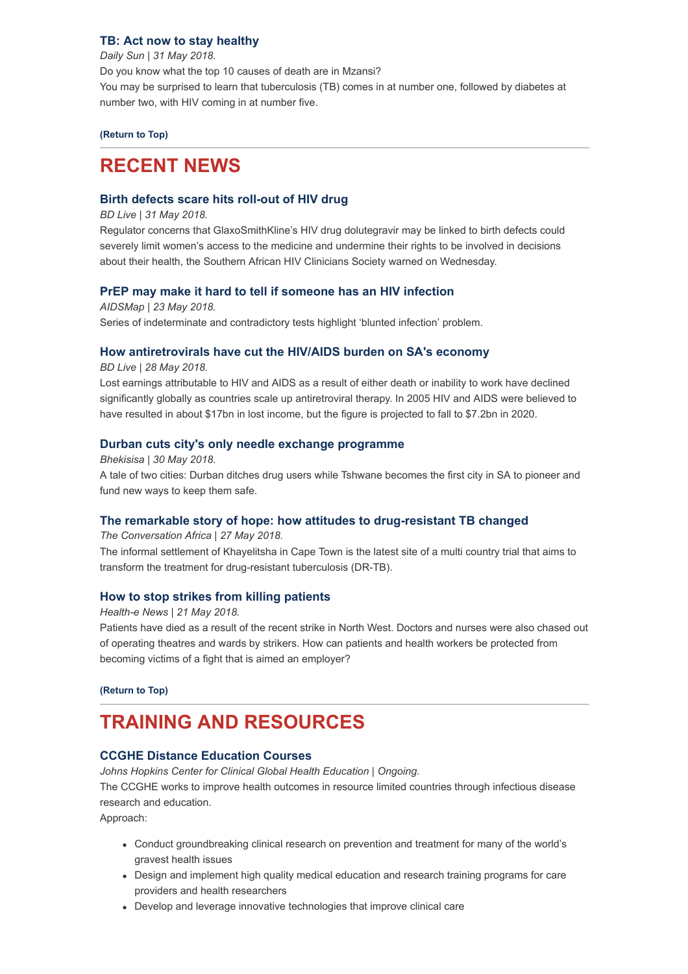#### **[TB: Act now to stay healthy](https://www.dailysun.co.za/Success/Health/tb-act-now-to-stay-healthy-20180531)**

*Daily Sun | 31 May 2018.* Do you know what the top 10 causes of death are in Mzansi? You may be surprised to learn that tuberculosis (TB) comes in at number one, followed by diabetes at number two, with HIV coming in at number five.

**[\(Return to Top\)](#page-0-1)**

## <span id="page-2-0"></span>**RECENT NEWS**

#### **[Birth defects scare hits roll-out of HIV drug](https://www.businesslive.co.za/bd/national/health/2018-05-31-birth-defects-scare-hits-roll-out-of-hiv-drug/)**

#### *BD Live | 31 May 2018.*

Regulator concerns that GlaxoSmithKline's HIV drug dolutegravir may be linked to birth defects could severely limit women's access to the medicine and undermine their rights to be involved in decisions about their health, the Southern African HIV Clinicians Society warned on Wednesday.

#### **[PrEP may make it hard to tell if someone has an HIV infection](http://www.aidsmap.com/PrEP-may-make-it-hard-to-tell-if-someone-has-an-HIV-infection/page/3271206/)**

*AIDSMap | 23 May 2018.* Series of indeterminate and contradictory tests highlight 'blunted infection' problem.

#### **[How antiretrovirals have cut the HIV/AIDS burden on SA's economy](https://www.businesslive.co.za/bd/national/health/2018-05-28-how-antiretrovirals-have-cut-the-hivaids-burden-on-sas-economy/)**

*BD Live | 28 May 2018.*

Lost earnings attributable to HIV and AIDS as a result of either death or inability to work have declined significantly globally as countries scale up antiretroviral therapy. In 2005 HIV and AIDS were believed to have resulted in about \$17bn in lost income, but the figure is projected to fall to \$7.2bn in 2020.

#### **[Durban cuts city's only needle exchange programme](http://bhekisisa.org/article/2018-05-30-00-durban-cuts-citys-only-needle-exchange-programme)**

*Bhekisisa | 30 May 2018.* A tale of two cities: Durban ditches drug users while Tshwane becomes the first city in SA to pioneer and fund new ways to keep them safe.

#### **[The remarkable story of hope: how attitudes to drug-resistant TB changed](https://theconversation.com/the-remarkable-story-of-hope-how-attitudes-to-drug-resistant-tb-changed-96774)**

*The Conversation Africa | 27 May 2018.*

The informal settlement of Khayelitsha in Cape Town is the latest site of a multi country trial that aims to transform the treatment for drug-resistant tuberculosis (DR-TB).

### **[How to stop strikes from killing patients](https://www.health-e.org.za/2018/05/21/how-to-stop-strikes-from-killing-patients/)**

*Health-e News | 21 May 2018.*

Patients have died as a result of the recent strike in North West. Doctors and nurses were also chased out of operating theatres and wards by strikers. How can patients and health workers be protected from becoming victims of a fight that is aimed an employer?

**[\(Return to Top\)](#page-0-1)**

# <span id="page-2-1"></span>**TRAINING AND RESOURCES**

#### **[CCGHE Distance Education Courses](http://moodle.ccghe.net/)**

*Johns Hopkins Center for Clinical Global Health Education | Ongoing.*

The CCGHE works to improve health outcomes in resource limited countries through infectious disease research and education.

Approach:

- Conduct groundbreaking clinical research on prevention and treatment for many of the world's gravest health issues
- Design and implement high quality medical education and research training programs for care providers and health researchers
- Develop and leverage innovative technologies that improve clinical care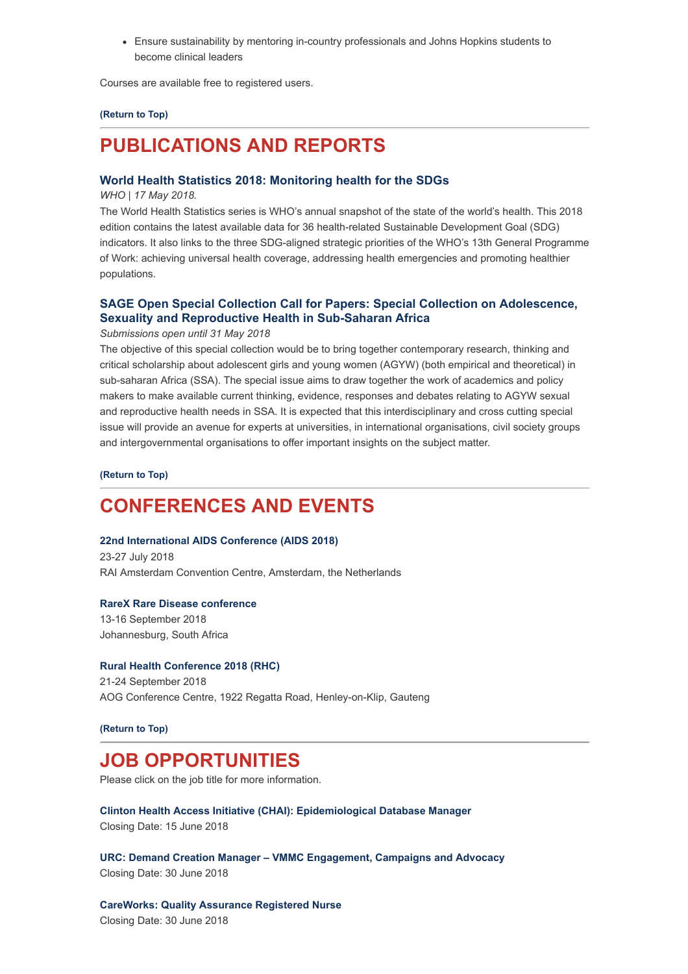Ensure sustainability by mentoring in-country professionals and Johns Hopkins students to become clinical leaders

Courses are available free to registered users.

#### **[\(Return to Top\)](#page-0-1)**

## <span id="page-3-0"></span>**PUBLICATIONS AND REPORTS**

#### **[World Health Statistics 2018: Monitoring health for the SDGs](http://apps.who.int/iris/bitstream/handle/10665/272596/9789241565585-eng.pdf?ua=1)**

*WHO | 17 May 2018.*

The World Health Statistics series is WHO's annual snapshot of the state of the world's health. This 2018 edition contains the latest available data for 36 health-related Sustainable Development Goal (SDG) indicators. It also links to the three SDG-aligned strategic priorities of the WHO's 13th General Programme of Work: achieving universal health coverage, addressing health emergencies and promoting healthier populations.

#### **[SAGE Open Special Collection Call for Papers: Special Collection on Adolescence,](http://journals.sagepub.com/page/sgo/collections/call-for-papers/special-issues/adolescence-sexuality-reproductive-health-africa) Sexuality and Reproductive Health in Sub-Saharan Africa**

*Submissions open until 31 May 2018*

The objective of this special collection would be to bring together contemporary research, thinking and critical scholarship about adolescent girls and young women (AGYW) (both empirical and theoretical) in sub-saharan Africa (SSA). The special issue aims to draw together the work of academics and policy makers to make available current thinking, evidence, responses and debates relating to AGYW sexual and reproductive health needs in SSA. It is expected that this interdisciplinary and cross cutting special issue will provide an avenue for experts at universities, in international organisations, civil society groups and intergovernmental organisations to offer important insights on the subject matter.

**[\(Return to Top\)](#page-0-1)**

## <span id="page-3-1"></span>**CONFERENCES AND EVENTS**

#### **[22nd International AIDS Conference \(AIDS 2018\)](http://www.aids2018.org/)**

23-27 July 2018 RAI Amsterdam Convention Centre, Amsterdam, the Netherlands

#### **[RareX Rare Disease conference](http://rarex.co.za/%20%C2%A0)**

13-16 September 2018 Johannesburg, South Africa

#### **[Rural Health Conference 2018 \(RHC\)](http://ruralhealthconference.org.za/)**

21-24 September 2018 AOG Conference Centre, 1922 Regatta Road, Henley-on-Klip, Gauteng

**[\(Return to Top\)](#page-0-1)**

## **JOB OPPORTUNITIES**

Please click on the job title for more information.

**[Clinton Health Access Initiative \(CHAI\): Epidemiological Database Manager](http://www.ngopulse.org/opportunity/2018/05/23/chai-epidemiological-database-manager)** Closing Date: 15 June 2018

**[URC: Demand Creation Manager – VMMC Engagement, Campaigns and Advocacy](http://www.ngopulse.org/opportunity/2018/05/28/urc-demand-creation-manager-%E2%80%93-vmmc-engagement-campaigns-and-advocacy)** Closing Date: 30 June 2018

**[CareWorks: Quality Assurance Registered Nurse](http://www.ngopulse.org/opportunity/2018/05/30/careworks-quality-assurance-registered-nurse-nw)** Closing Date: 30 June 2018